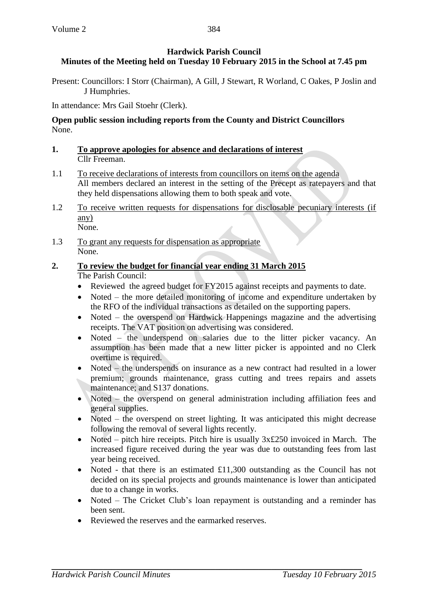# **Hardwick Parish Council Minutes of the Meeting held on Tuesday 10 February 2015 in the School at 7.45 pm**

Present: Councillors: I Storr (Chairman), A Gill, J Stewart, R Worland, C Oakes, P Joslin and J Humphries.

In attendance: Mrs Gail Stoehr (Clerk).

# **Open public session including reports from the County and District Councillors** None.

- **1. To approve apologies for absence and declarations of interest** Cllr Freeman.
- 1.1 To receive declarations of interests from councillors on items on the agenda All members declared an interest in the setting of the Precept as ratepayers and that they held dispensations allowing them to both speak and vote.
- 1.2 To receive written requests for dispensations for disclosable pecuniary interests (if any) None.
- 1.3 To grant any requests for dispensation as appropriate None.

## **2. To review the budget for financial year ending 31 March 2015** The Parish Council:

- Reviewed the agreed budget for FY2015 against receipts and payments to date.
- Noted the more detailed monitoring of income and expenditure undertaken by the RFO of the individual transactions as detailed on the supporting papers.
- Noted the overspend on Hardwick Happenings magazine and the advertising receipts. The VAT position on advertising was considered.
- Noted the underspend on salaries due to the litter picker vacancy. An assumption has been made that a new litter picker is appointed and no Clerk overtime is required.
- Noted the underspends on insurance as a new contract had resulted in a lower premium; grounds maintenance, grass cutting and trees repairs and assets maintenance; and S137 donations.
- Noted the overspend on general administration including affiliation fees and general supplies.
- Noted the overspend on street lighting. It was anticipated this might decrease following the removal of several lights recently.
- Noted pitch hire receipts. Pitch hire is usually  $3x£250$  invoiced in March. The increased figure received during the year was due to outstanding fees from last year being received.
- Noted that there is an estimated £11,300 outstanding as the Council has not decided on its special projects and grounds maintenance is lower than anticipated due to a change in works.
- Noted The Cricket Club's loan repayment is outstanding and a reminder has been sent.
- Reviewed the reserves and the earmarked reserves.